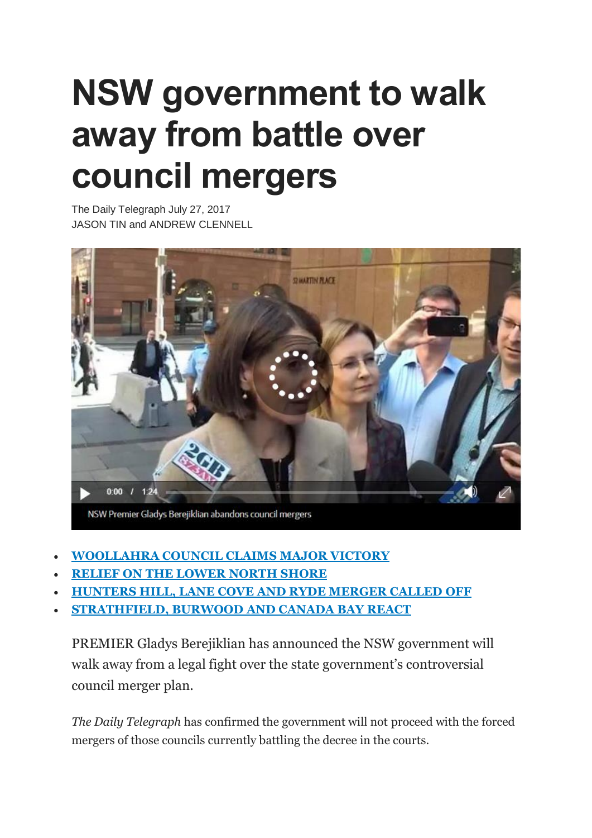## **NSW government to walk away from battle over council mergers**

The Daily Telegraph July 27, 2017 JASON TIN and ANDREW CLENNELL



- **[WOOLLAHRA](http://www.dailytelegraph.com.au/newslocal/wentworth-courier/state-government-set-to-scrap-forced-amalgamations-including-eastern-suburbs-merger/news-story/6c0b823953313294e49b79f622f2439f) COUNCIL CLAIMS MAJOR VICTORY**
- **RELIEF ON THE [LOWER](http://www.dailytelegraph.com.au/newslocal/mosman-daily/relief-on-the-lower-north-shore-as-gladys-berejiklian-dumps-controversial-forced-council-merger-plans-ahead-of-local-government-elections/news-story/d5411cd0f166452b93182e097e4415f0) NORTH SHORE**
- **[HUNTERS](http://www.dailytelegraph.com.au/newslocal/northern-district-times/council-merger-of-hunters-hill-lane-cove-and-ryde-called-off/news-story/59d47289c8dc0354e7306ee8e21c63ef) HILL, LANE COVE AND RYDE MERGER CALLED OFF**
- **[STRATHFIELD,](http://www.dailytelegraph.com.au/newslocal/inner-west/strathfield-burwood-and-canada-bay-mayors-react-to-state-governments-backdown-on-merger/news-story/8522af7f288092316210305b5c0a22f2) BURWOOD AND CANADA BAY REACT**

PREMIER Gladys Berejiklian has announced the NSW government will walk away from a legal fight over the state government's controversial council merger plan.

*The Daily Telegraph* has confirmed the government will not proceed with the forced mergers of those councils currently battling the decree in the courts.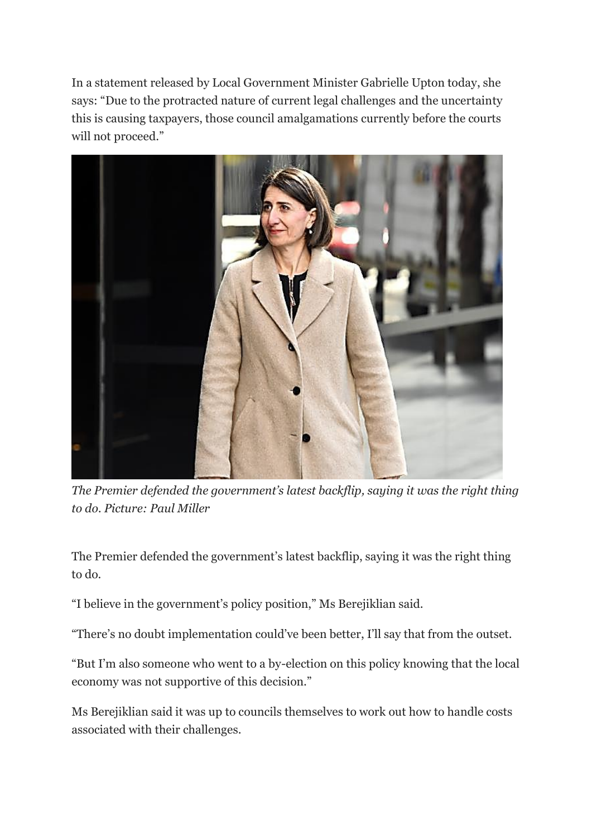In a statement released by Local Government Minister Gabrielle Upton today, she says: "Due to the protracted nature of current legal challenges and the uncertainty this is causing taxpayers, those council amalgamations currently before the courts will not proceed."



*The Premier defended the government's latest backflip, saying it was the right thing to do. Picture: Paul Miller*

The Premier defended the government's latest backflip, saying it was the right thing to do.

"I believe in the government's policy position," Ms Berejiklian said.

"There's no doubt implementation could've been better, I'll say that from the outset.

"But I'm also someone who went to a by-election on this policy knowing that the local economy was not supportive of this decision."

Ms Berejiklian said it was up to councils themselves to work out how to handle costs associated with their challenges.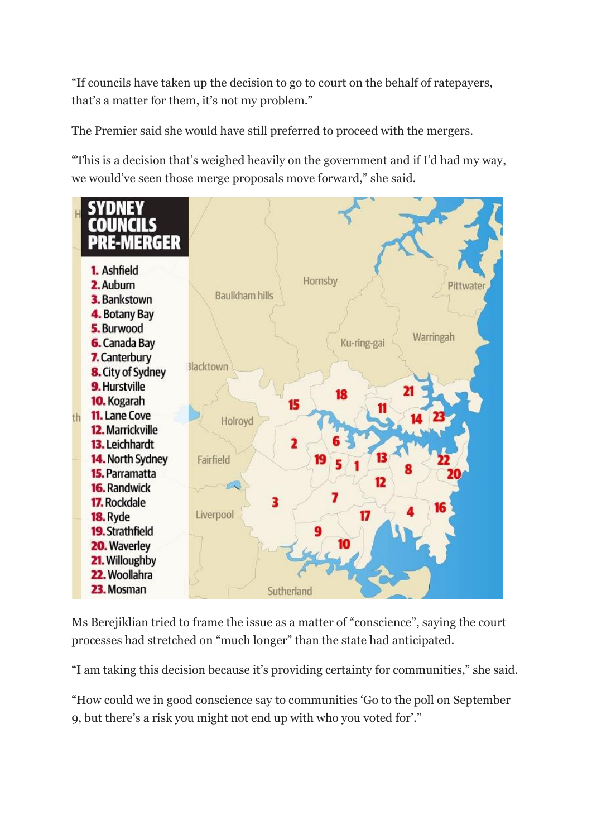"If councils have taken up the decision to go to court on the behalf of ratepayers, that's a matter for them, it's not my problem."

The Premier said she would have still preferred to proceed with the mergers.

"This is a decision that's weighed heavily on the government and if I'd had my way, we would've seen those merge proposals move forward," she said.



Ms Berejiklian tried to frame the issue as a matter of "conscience", saying the court processes had stretched on "much longer" than the state had anticipated.

"I am taking this decision because it's providing certainty for communities," she said.

"How could we in good conscience say to communities 'Go to the poll on September 9, but there's a risk you might not end up with who you voted for'."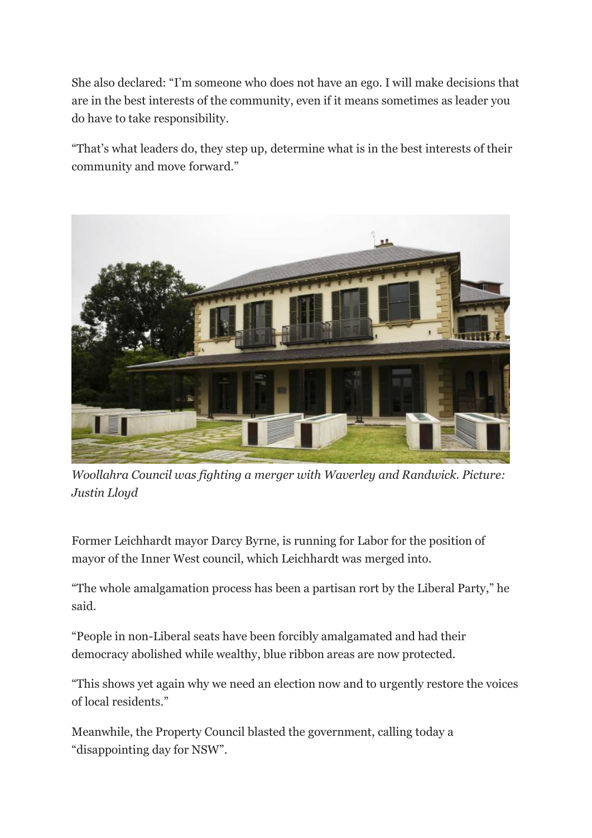She also declared: "I'm someone who does not have an ego. I will make decisions that are in the best interests of the community, even if it means sometimes as leader you do have to take responsibility.

"That's what leaders do, they step up, determine what is in the best interests of their community and move forward."



*Woollahra Council was fighting a merger with Waverley and Randwick. Picture: Justin Lloyd*

Former Leichhardt mayor Darcy Byrne, is running for Labor for the position of mayor of the Inner West council, which Leichhardt was merged into.

"The whole amalgamation process has been a partisan rort by the Liberal Party," he said.

"People in non-Liberal seats have been forcibly amalgamated and had their democracy abolished while wealthy, blue ribbon areas are now protected.

"This shows yet again why we need an election now and to urgently restore the voices of local residents."

Meanwhile, the Property Council blasted the government, calling today a "disappointing day for NSW".